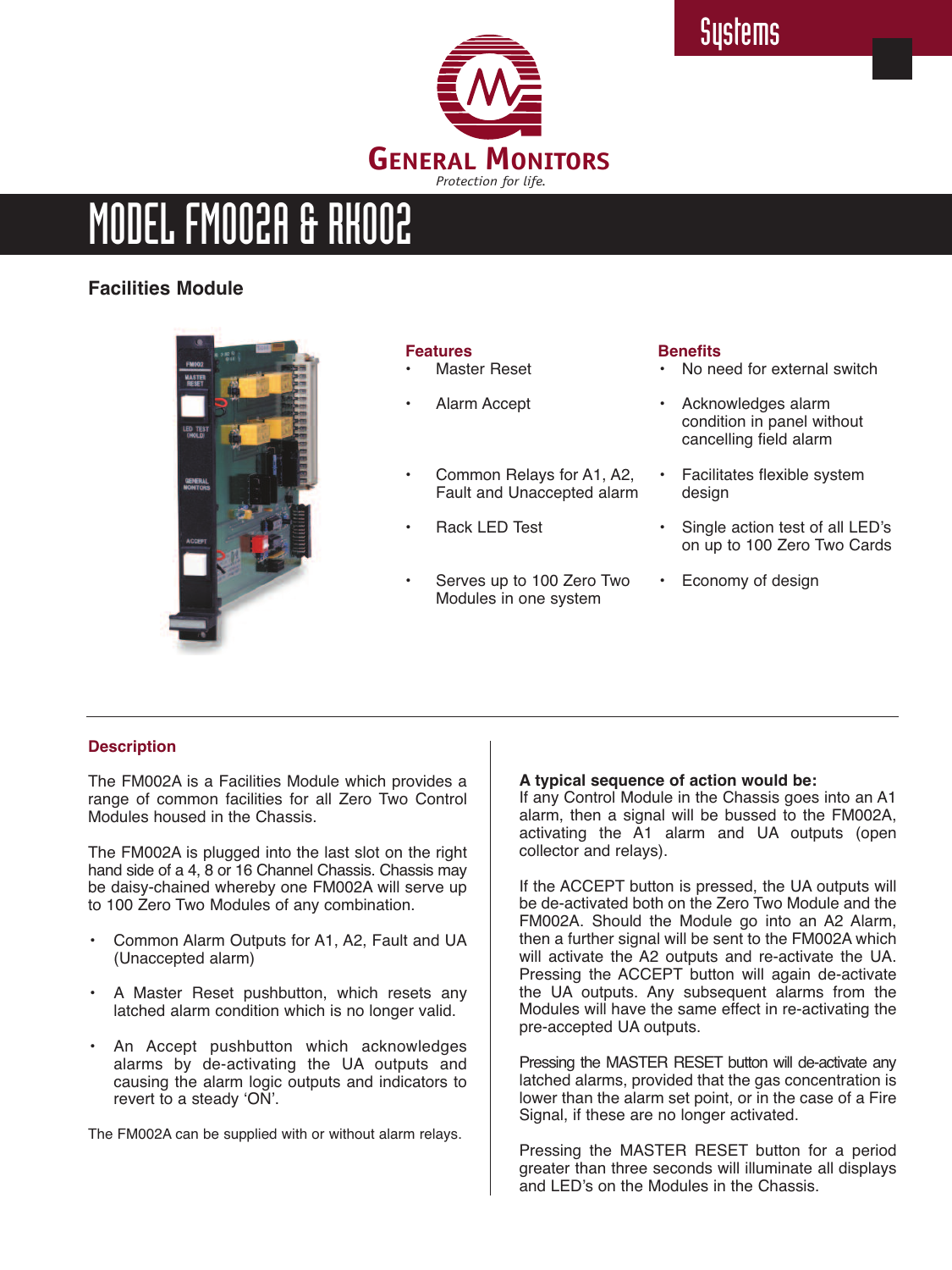

# MODEL FMOO2A & RHOO2

# **Facilities Module**



#### **Features**

- **Master Reset**
- Alarm Accept
- Common Relays for A1, A2, Fault and Unaccepted alarm
- Rack LED Test
- Serves up to 100 Zero Two Modules in one system

#### **Benefits**

- No need for external switch
- Acknowledges alarm condition in panel without cancelling field alarm
- Facilitates flexible system design
- Single action test of all LED's on up to 100 Zero Two Cards
- Economy of design

# **Description**

The FM002A is a Facilities Module which provides a range of common facilities for all Zero Two Control Modules housed in the Chassis.

The FM002A is plugged into the last slot on the right hand side of a 4, 8 or 16 Channel Chassis. Chassis may be daisy-chained whereby one FM002A will serve up to 100 Zero Two Modules of any combination.

- Common Alarm Outputs for A1, A2, Fault and UA (Unaccepted alarm)
- A Master Reset pushbutton, which resets any latched alarm condition which is no longer valid.
- An Accept pushbutton which acknowledges alarms by de-activating the UA outputs and causing the alarm logic outputs and indicators to revert to a steady 'ON'.

The FM002A can be supplied with or without alarm relays.

# **A typical sequence of action would be:**

If any Control Module in the Chassis goes into an A1 alarm, then a signal will be bussed to the FM002A, activating the A1 alarm and UA outputs (open collector and relays).

If the ACCEPT button is pressed, the UA outputs will be de-activated both on the Zero Two Module and the FM002A. Should the Module go into an A2 Alarm, then a further signal will be sent to the FM002A which will activate the A2 outputs and re-activate the UA. Pressing the ACCEPT button will again de-activate the UA outputs. Any subsequent alarms from the Modules will have the same effect in re-activating the pre-accepted UA outputs.

Pressing the MASTER RESET button will de-activate any latched alarms, provided that the gas concentration is lower than the alarm set point, or in the case of a Fire Signal, if these are no longer activated.

Pressing the MASTER RESET button for a period greater than three seconds will illuminate all displays and LED's on the Modules in the Chassis.